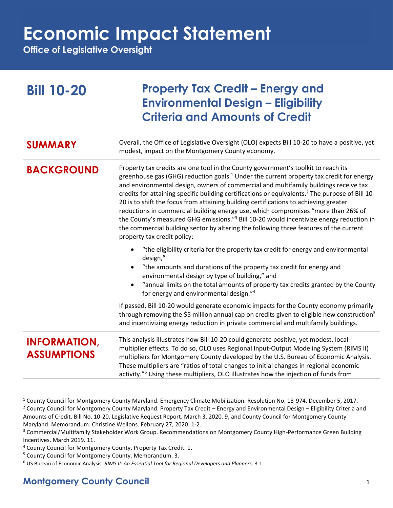**Office of Legislative Oversight**

| <b>Bill 10-20</b>                         | <b>Property Tax Credit – Energy and</b><br><b>Environmental Design - Eligibility</b><br><b>Criteria and Amounts of Credit</b>                                                                                                                                                                                                                                                                                                                                                                                                                                                                                                                                                                                                                                                                                |
|-------------------------------------------|--------------------------------------------------------------------------------------------------------------------------------------------------------------------------------------------------------------------------------------------------------------------------------------------------------------------------------------------------------------------------------------------------------------------------------------------------------------------------------------------------------------------------------------------------------------------------------------------------------------------------------------------------------------------------------------------------------------------------------------------------------------------------------------------------------------|
| <b>SUMMARY</b>                            | Overall, the Office of Legislative Oversight (OLO) expects Bill 10-20 to have a positive, yet<br>modest, impact on the Montgomery County economy.                                                                                                                                                                                                                                                                                                                                                                                                                                                                                                                                                                                                                                                            |
| <b>BACKGROUND</b>                         | Property tax credits are one tool in the County government's toolkit to reach its<br>greenhouse gas (GHG) reduction goals. <sup>1</sup> Under the current property tax credit for energy<br>and environmental design, owners of commercial and multifamily buildings receive tax<br>credits for attaining specific building certifications or equivalents. <sup>2</sup> The purpose of Bill 10-<br>20 is to shift the focus from attaining building certifications to achieving greater<br>reductions in commercial building energy use, which compromises "more than 26% of<br>the County's measured GHG emissions." <sup>3</sup> Bill 10-20 would incentivize energy reduction in<br>the commercial building sector by altering the following three features of the current<br>property tax credit policy: |
|                                           | • "the eligibility criteria for the property tax credit for energy and environmental<br>design,"<br>"the amounts and durations of the property tax credit for energy and<br>environmental design by type of building," and<br>"annual limits on the total amounts of property tax credits granted by the County<br>for energy and environmental design."4                                                                                                                                                                                                                                                                                                                                                                                                                                                    |
|                                           | If passed, Bill 10-20 would generate economic impacts for the County economy primarily<br>through removing the \$5 million annual cap on credits given to eligible new construction <sup>5</sup><br>and incentivizing energy reduction in private commercial and multifamily buildings.                                                                                                                                                                                                                                                                                                                                                                                                                                                                                                                      |
| <b>INFORMATION,</b><br><b>ASSUMPTIONS</b> | This analysis illustrates how Bill 10-20 could generate positive, yet modest, local<br>multiplier effects. To do so, OLO uses Regional Input-Output Modeling System (RIMS II)<br>multipliers for Montgomery County developed by the U.S. Bureau of Economic Analysis.<br>These multipliers are "ratios of total changes to initial changes in regional economic<br>activity." <sup>6</sup> Using these multipliers, OLO illustrates how the injection of funds from                                                                                                                                                                                                                                                                                                                                          |

<sup>1</sup> County Council for Montgomery County Maryland. Emergency Climate Mobilization. Resolution No. 18-974. December 5, 2017. <sup>2</sup> County Council for Montgomery County Maryland. Property Tax Credit – Energy and Environmental Design – Eligibility Criteria and Amounts of Credit. Bill No. 10-20. Legislative Request Report. March 3, 2020. 9, and County Council for Montgomery County Maryland. Memorandum. Christine Wellons. February 27, 2020. 1-2.

<sup>3</sup> Commercial/Multifamily Stakeholder Work Group. Recommendations on Montgomery County High-Performance Green Building Incentives. March 2019. 11.

<sup>4</sup> County Council for Montgomery County. Property Tax Credit. 1.

<sup>5</sup> County Council for Montgomery County. Memorandum. 3.

<sup>6</sup> US Bureau of Economic Analysis. *RIMS II: An Essential Tool for Regional Developers and Planners*. 3-1.

### **Montgomery County Council** 1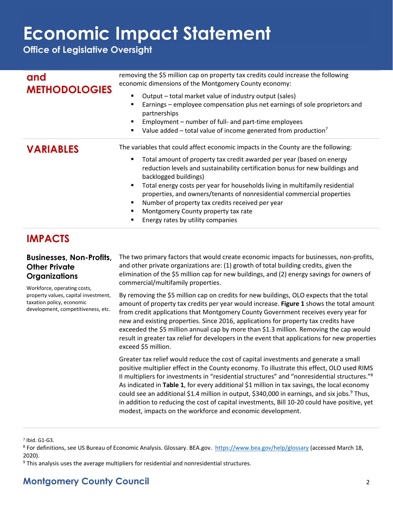**Office of Legislative Oversight**

| and<br><b>METHODOLOGIES</b> | removing the \$5 million cap on property tax credits could increase the following<br>economic dimensions of the Montgomery County economy:<br>Output – total market value of industry output (sales)<br>Earnings – employee compensation plus net earnings of sole proprietors and<br>$\blacksquare$<br>partnerships<br>Employment – number of full- and part-time employees<br>$\blacksquare$<br>Value added – total value of income generated from production <sup>7</sup><br>$\blacksquare$                                                                                                               |
|-----------------------------|--------------------------------------------------------------------------------------------------------------------------------------------------------------------------------------------------------------------------------------------------------------------------------------------------------------------------------------------------------------------------------------------------------------------------------------------------------------------------------------------------------------------------------------------------------------------------------------------------------------|
| <b>VARIABLES</b>            | The variables that could affect economic impacts in the County are the following:<br>Total amount of property tax credit awarded per year (based on energy<br>п<br>reduction levels and sustainability certification bonus for new buildings and<br>backlogged buildings)<br>Total energy costs per year for households living in multifamily residential<br>п<br>properties, and owners/tenants of nonresidential commercial properties<br>Number of property tax credits received per year<br>$\blacksquare$<br>Montgomery County property tax rate<br>Energy rates by utility companies<br>$\blacksquare$ |

### **IMPACTS**

### **Businesses, Non-Profits, Other Private Organizations**

Workforce, operating costs, property values, capital investment, taxation policy, economic development, competitiveness, etc.

The two primary factors that would create economic impacts for businesses, non-profits, and other private organizations are: (1) growth of total building credits, given the elimination of the \$5 million cap for new buildings, and (2) energy savings for owners of commercial/multifamily properties.

By removing the \$5 million cap on credits for new buildings, OLO expects that the total amount of property tax credits per year would increase. **Figure 1** shows the total amount from credit applications that Montgomery County Government receives every year for new and existing properties. Since 2016, applications for property tax credits have exceeded the \$5 million annual cap by more than \$1.3 million. Removing the cap would result in greater tax relief for developers in the event that applications for new properties exceed \$5 million.

Greater tax relief would reduce the cost of capital investments and generate a small positive multiplier effect in the County economy. To illustrate this effect, OLO used RIMS II multipliers for investments in "residential structures" and "nonresidential structures."<sup>8</sup> As indicated in **Table 1**, for every additional \$1 million in tax savings, the local economy could see an additional \$1.4 million in output, \$340,000 in earnings, and six jobs.<sup>9</sup> Thus, in addition to reducing the cost of capital investments, Bill 10-20 could have positive, yet modest, impacts on the workforce and economic development.

7 Ibid. G1-G3.

<sup>8</sup> For definitions, see US Bureau of Economic Analysis. Glossary. BEA.gov. <https://www.bea.gov/help/glossary> (accessed March 18, 2020).

<sup>9</sup> This analysis uses the average multipliers for residential and nonresidential structures.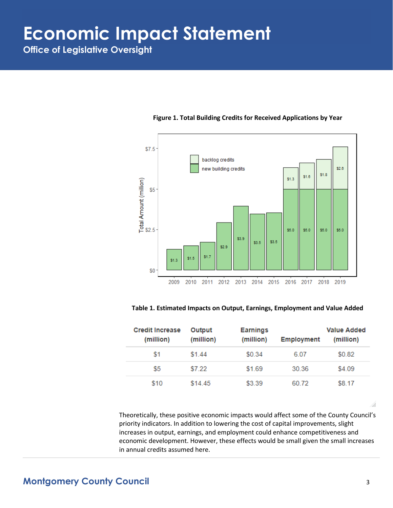**Office of Legislative Oversight**



#### **Figure 1. Total Building Credits for Received Applications by Year**

#### **Table 1. Estimated Impacts on Output, Earnings, Employment and Value Added**

| <b>Credit Increase</b><br>(million) | Output<br>(million) | <b>Earnings</b><br>(million) | <b>Employment</b> | Value Added<br>(million) |
|-------------------------------------|---------------------|------------------------------|-------------------|--------------------------|
| \$1                                 | \$1.44              | \$0.34                       | 6.07              | \$0.82                   |
| \$5                                 | \$7.22              | \$1.69                       | 30.36             | \$4.09                   |
| \$10                                | \$14.45             | \$3.39                       | 60.72             | \$8.17                   |

Theoretically, these positive economic impacts would affect some of the County Council's priority indicators. In addition to lowering the cost of capital improvements, slight increases in output, earnings, and employment could enhance competitiveness and economic development. However, these effects would be small given the small increases in annual credits assumed here.

 $\ddot{m}$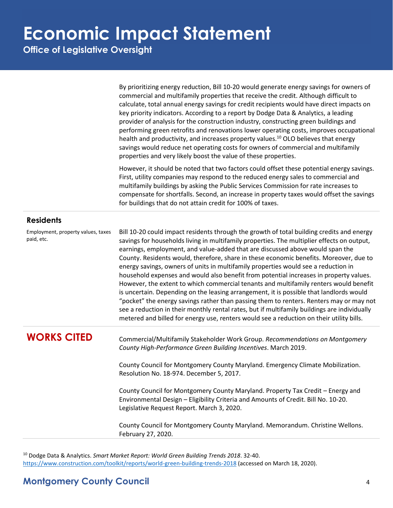**Office of Legislative Oversight**

By prioritizing energy reduction, Bill 10-20 would generate energy savings for owners of commercial and multifamily properties that receive the credit. Although difficult to calculate, total annual energy savings for credit recipients would have direct impacts on key priority indicators. According to a report by Dodge Data & Analytics, a leading provider of analysis for the construction industry, constructing green buildings and performing green retrofits and renovations lower operating costs, improves occupational health and productivity, and increases property values.<sup>10</sup> OLO believes that energy savings would reduce net operating costs for owners of commercial and multifamily properties and very likely boost the value of these properties.

However, it should be noted that two factors could offset these potential energy savings. First, utility companies may respond to the reduced energy sales to commercial and multifamily buildings by asking the Public Services Commission for rate increases to compensate for shortfalls. Second, an increase in property taxes would offset the savings for buildings that do not attain credit for 100% of taxes.

#### **Residents**

Employment, property values, taxes paid, etc.

Bill 10-20 could impact residents through the growth of total building credits and energy savings for households living in multifamily properties. The multiplier effects on output, earnings, employment, and value-added that are discussed above would span the County. Residents would, therefore, share in these economic benefits. Moreover, due to energy savings, owners of units in multifamily properties would see a reduction in household expenses and would also benefit from potential increases in property values. However, the extent to which commercial tenants and multifamily renters would benefit is uncertain. Depending on the leasing arrangement, it is possible that landlords would "pocket" the energy savings rather than passing them to renters. Renters may or may not see a reduction in their monthly rental rates, but if multifamily buildings are individually metered and billed for energy use, renters would see a reduction on their utility bills.

**WORKS CITED** Commercial/Multifamily Stakeholder Work Group. *Recommendations on Montgomery County High-Performance Green Building Incentives*. March 2019.

> County Council for Montgomery County Maryland. Emergency Climate Mobilization. Resolution No. 18-974. December 5, 2017.

> County Council for Montgomery County Maryland. Property Tax Credit – Energy and Environmental Design – Eligibility Criteria and Amounts of Credit. Bill No. 10-20. Legislative Request Report. March 3, 2020.

County Council for Montgomery County Maryland. Memorandum. Christine Wellons. February 27, 2020.

<sup>10</sup> Dodge Data & Analytics. *Smart Market Report: World Green Building Trends 2018*. 32-40. <https://www.construction.com/toolkit/reports/world-green-building-trends-2018> (accessed on March 18, 2020).

### **Montgomery County Council** 4